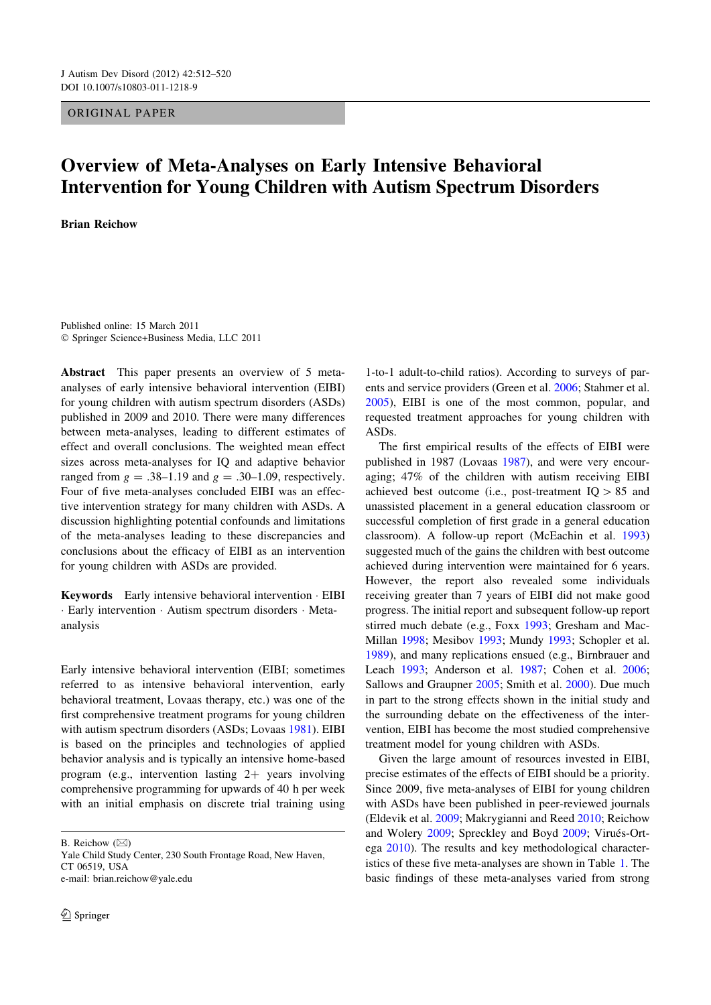ORIGINAL PAPER

# Overview of Meta-Analyses on Early Intensive Behavioral Intervention for Young Children with Autism Spectrum Disorders

Brian Reichow

Published online: 15 March 2011 ! Springer Science+Business Media, LLC 2011

Abstract This paper presents an overview of 5 metaanalyses of early intensive behavioral intervention (EIBI) for young children with autism spectrum disorders (ASDs) published in 2009 and 2010. There were many differences between meta-analyses, leading to different estimates of effect and overall conclusions. The weighted mean effect sizes across meta-analyses for IQ and adaptive behavior ranged from  $g = .38-1.19$  and  $g = .30-1.09$ , respectively. Four of five meta-analyses concluded EIBI was an effective intervention strategy for many children with ASDs. A discussion highlighting potential confounds and limitations of the meta-analyses leading to these discrepancies and conclusions about the efficacy of EIBI as an intervention for young children with ASDs are provided.

Keywords Early intensive behavioral intervention · EIBI · Early intervention · Autism spectrum disorders · Metaanalysis

Early intensive behavioral intervention (EIBI; sometimes referred to as intensive behavioral intervention, early behavioral treatment, Lovaas therapy, etc.) was one of the first comprehensive treatment programs for young children with autism spectrum disorders (ASDs; Lovaas 1981). EIBI is based on the principles and technologies of applied behavior analysis and is typically an intensive home-based program (e.g., intervention lasting  $2+$  years involving comprehensive programming for upwards of 40 h per week with an initial emphasis on discrete trial training using

B. Reichow  $(\boxtimes)$ 

Yale Child Study Center, 230 South Frontage Road, New Haven, CT 06519, USA e-mail: brian.reichow@yale.edu

1-to-1 adult-to-child ratios). According to surveys of parents and service providers (Green et al. 2006; Stahmer et al. 2005), EIBI is one of the most common, popular, and requested treatment approaches for young children with ASDs.

The first empirical results of the effects of EIBI were published in 1987 (Lovaas 1987), and were very encouraging; 47% of the children with autism receiving EIBI achieved best outcome (i.e., post-treatment  $IQ > 85$  and unassisted placement in a general education classroom or successful completion of first grade in a general education classroom). A follow-up report (McEachin et al. 1993) suggested much of the gains the children with best outcome achieved during intervention were maintained for 6 years. However, the report also revealed some individuals receiving greater than 7 years of EIBI did not make good progress. The initial report and subsequent follow-up report stirred much debate (e.g., Foxx 1993; Gresham and Mac-Millan 1998; Mesibov 1993; Mundy 1993; Schopler et al. 1989), and many replications ensued (e.g., Birnbrauer and Leach 1993; Anderson et al. 1987; Cohen et al. 2006; Sallows and Graupner 2005; Smith et al. 2000). Due much in part to the strong effects shown in the initial study and the surrounding debate on the effectiveness of the intervention, EIBI has become the most studied comprehensive treatment model for young children with ASDs.

Given the large amount of resources invested in EIBI, precise estimates of the effects of EIBI should be a priority. Since 2009, five meta-analyses of EIBI for young children with ASDs have been published in peer-reviewed journals (Eldevik et al. 2009; Makrygianni and Reed 2010; Reichow and Wolery 2009; Spreckley and Boyd 2009; Virués-Ortega 2010). The results and key methodological characteristics of these five meta-analyses are shown in Table 1. The basic findings of these meta-analyses varied from strong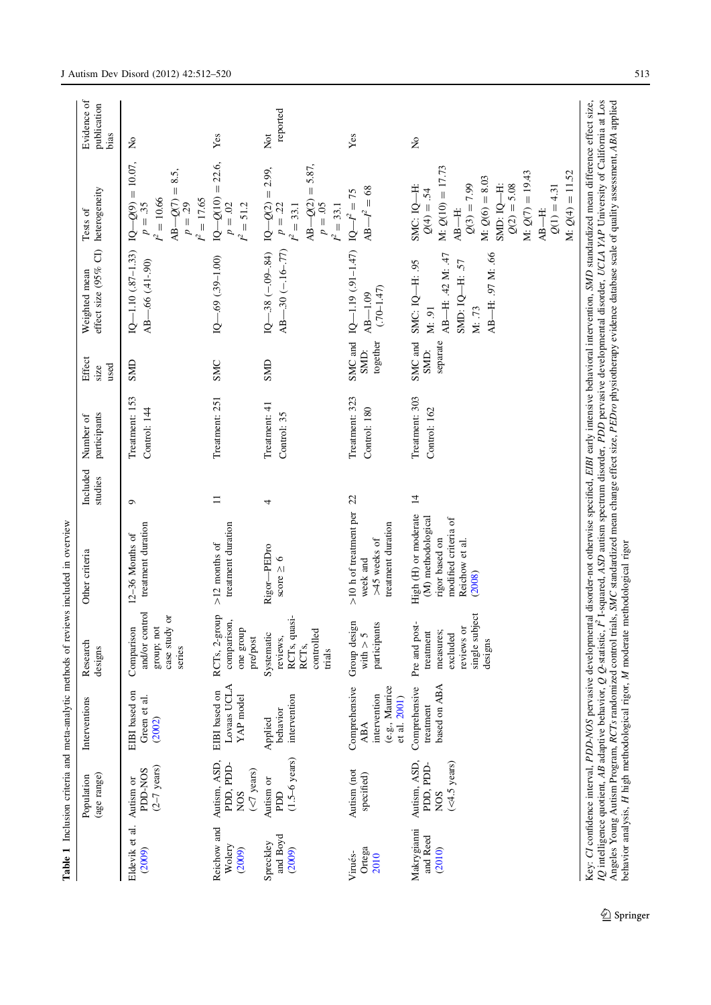|                                   |                                                                           |                                                                                                                               |                                                                                                | Table 1 Inclusion criteria and meta-analytic methods of reviews included in overview                                                                                                                                                                                                                                                                                                                                                                                  |                     |                                |                               |                                                                                                |                                                                                                                                                                                                 |                                    |
|-----------------------------------|---------------------------------------------------------------------------|-------------------------------------------------------------------------------------------------------------------------------|------------------------------------------------------------------------------------------------|-----------------------------------------------------------------------------------------------------------------------------------------------------------------------------------------------------------------------------------------------------------------------------------------------------------------------------------------------------------------------------------------------------------------------------------------------------------------------|---------------------|--------------------------------|-------------------------------|------------------------------------------------------------------------------------------------|-------------------------------------------------------------------------------------------------------------------------------------------------------------------------------------------------|------------------------------------|
|                                   | (age range)<br>Population                                                 | Interventions                                                                                                                 | Research<br>designs                                                                            | Other criteria                                                                                                                                                                                                                                                                                                                                                                                                                                                        | Included<br>studies | participants<br>Number of      | <b>Effect</b><br>used<br>size | effect size (95% CI)<br>Weighted mean                                                          | heterogeneity<br>Tests of                                                                                                                                                                       | Evidence of<br>publication<br>bias |
| Eldevik et al.<br>(2009)          | $(2-7 \text{ years})$<br>PDD-NOS<br>Autism or                             | EIBI based on<br>Green et al.<br>(2002)                                                                                       | and/or control<br>ð<br>Comparison<br>group; not<br>case study<br>series                        | treatment duration<br>12-36 Months of                                                                                                                                                                                                                                                                                                                                                                                                                                 | Ó                   | Treatment: 153<br>Control: 144 | SMD                           | $IQ-1.10(.87-1.33)$<br>$AB - .66(.41-.90)$                                                     | $IQ - Q(9) = 10.07,$<br>$= 8.5,$<br>$I^2=10.66$<br>$I^2 = 17.65$<br>$AB-Q(7)$<br>$p = .29$<br>$p = .35$                                                                                         | $\tilde{z}$                        |
| Reichow and<br>Wolery<br>(2009)   | Autism, ASD,<br>PDD, PDD-<br>$(\leq 7$ years)<br>NO <sub>S</sub>          | Lovaas UCLA<br>EIBI based on<br>YAP model                                                                                     | RCTs, 2-group<br>comparison,<br>one group<br>pre/post                                          | treatment duration<br>$>12$ months of                                                                                                                                                                                                                                                                                                                                                                                                                                 | $\Xi$               | Treatment: 251                 | <b>SMC</b>                    | $IQ - .69$ $(.39 - 1.00)$                                                                      | $IQ - Q(10) = 22.6$ ,<br>$p = .02$<br>$t^2 = 51.2$                                                                                                                                              | Yes                                |
| and Boyd<br>Spreckley<br>(2009)   | $(1.5-6$ years)<br>Autism or<br>PDD                                       | intervention<br>behavior<br>Applied                                                                                           | RCTs, quasi-<br>controlled<br>Systematic<br>reviews,<br>RCT <sub>S</sub><br>trials             | Rigor-PEDro<br>score $\geq 6$                                                                                                                                                                                                                                                                                                                                                                                                                                         | 4                   | Treatment: 41<br>Control: 35   | SMD                           | $AB - 30 (-16 - 77)$<br>$IQ - 38 (-.09 - 84)$                                                  | $= 5.87,$<br>$IQ - Q(2) = 2.99,$<br>$AB-Q(2)$<br>$p = .05$<br>$p=.22$<br>$l^2 = 33.1$<br>$t^2 = 33.1$                                                                                           | reported<br>Not                    |
| Ortega<br>Virués-<br>2010         | Autism (not<br>specified)                                                 | Comprehensive<br>(e.g., Maurice<br>intervention<br>et al. 2001)<br>ABA                                                        | $\mathbf{a}$<br>participants<br>Group desig<br>with $> 5$                                      | $>10$ h of treatment per 22<br>treatment duration<br>>45 weeks of<br>week and                                                                                                                                                                                                                                                                                                                                                                                         |                     | Treatment: 323<br>Control: 180 | together<br>SMD:              | SMC and IQ-1.9 (.91-1.47)<br>$(.70 - 1.47)$<br>$AB-1.09$                                       | $AB - f^2 = 68$<br>$\mathrm{IQ}{-}I^2=75$                                                                                                                                                       | Yes                                |
| Makrygianni<br>and Reed<br>(2010) | Autism, ASD,<br>$(\leq4.5 \text{ years})$<br>PDD, PDD-<br>NO <sub>S</sub> | based on ABA<br>Comprehensive<br>treatment                                                                                    | single subject<br>Pre and post-<br>reviews or<br>treatment<br>measures;<br>excluded<br>designs | High (H) or moderate<br>(M) methodological<br>modified criteria of<br>rigor based on<br>Reichow et al.<br>(2008)                                                                                                                                                                                                                                                                                                                                                      | $\overline{4}$      | Treatment: 303<br>Control: 162 | SMC and<br>separate<br>SMD:   | AB-H: .97 M: .66<br>AB-H: .42 M: .47<br>SMC: IQ-H: .95<br>SMD: $IQ-H: .57$<br>M: .73<br>M: .91 | M: $Q(10) = 17.73$<br>M: $Q(4) = 11.52$<br>M: $Q(7) = 19.43$<br>M: $Q(6) = 8.03$<br>$QQ = 7.99$<br>SMD: IQ-H:<br>$Q(2) = 5.08$<br>SMC: IQ-H:<br>$Q(1) = 4.31$<br>$Q(4) = .54$<br>AB-H:<br>AB-H: | $\mathop{\mathsf{S}}\nolimits$     |
|                                   |                                                                           | Angeles Young Autism Program, RCTs randomized control tri<br>IQ intelligence quotient, AB adaptive behavior, $QQ$ -statistic, | behavior analysis, H high methodological rigor, M moderate methodological rigor                | f <sup>2</sup> I-squared, ASD autism spectrum disorder, PDD pervasive developmental disorder, UCLA YAP University of California at Los<br>als, SMC standardized mean change effect size, PEDro physiotherapy evidence database scale of quality assessment, ABA applied<br>Key: Cl confidence interval, PDD-NOS pervasive developmental disorder-not otherwise specified, EIBI early intensive behavioral intervention, SMD standardized mean difference effect size, |                     |                                |                               |                                                                                                |                                                                                                                                                                                                 |                                    |

 $\underline{\textcircled{\tiny 2}}$  Springer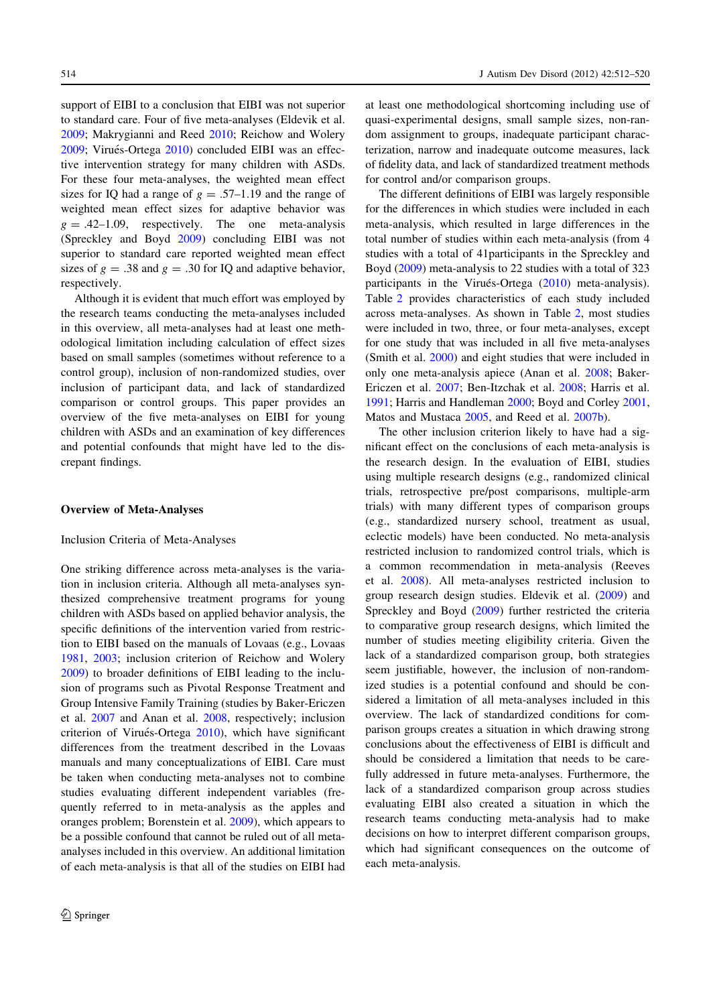514 J Autism Dev Disord (2012) 42:512–520

support of EIBI to a conclusion that EIBI was not superior to standard care. Four of five meta-analyses (Eldevik et al. 2009; Makrygianni and Reed 2010; Reichow and Wolery 2009; Virués-Ortega 2010) concluded EIBI was an effective intervention strategy for many children with ASDs. For these four meta-analyses, the weighted mean effect sizes for IQ had a range of  $g = .57-1.19$  and the range of weighted mean effect sizes for adaptive behavior was  $g = .42-1.09$ , respectively. The one meta-analysis (Spreckley and Boyd 2009) concluding EIBI was not superior to standard care reported weighted mean effect sizes of  $g = .38$  and  $g = .30$  for IQ and adaptive behavior, respectively.

Although it is evident that much effort was employed by the research teams conducting the meta-analyses included in this overview, all meta-analyses had at least one methodological limitation including calculation of effect sizes based on small samples (sometimes without reference to a control group), inclusion of non-randomized studies, over inclusion of participant data, and lack of standardized comparison or control groups. This paper provides an overview of the five meta-analyses on EIBI for young children with ASDs and an examination of key differences and potential confounds that might have led to the discrepant findings.

## Overview of Meta-Analyses

#### Inclusion Criteria of Meta-Analyses

One striking difference across meta-analyses is the variation in inclusion criteria. Although all meta-analyses synthesized comprehensive treatment programs for young children with ASDs based on applied behavior analysis, the specific definitions of the intervention varied from restriction to EIBI based on the manuals of Lovaas (e.g., Lovaas 1981, 2003; inclusion criterion of Reichow and Wolery 2009) to broader definitions of EIBI leading to the inclusion of programs such as Pivotal Response Treatment and Group Intensive Family Training (studies by Baker-Ericzen et al. 2007 and Anan et al. 2008, respectively; inclusion criterion of Virués-Ortega  $2010$ ), which have significant differences from the treatment described in the Lovaas manuals and many conceptualizations of EIBI. Care must be taken when conducting meta-analyses not to combine studies evaluating different independent variables (frequently referred to in meta-analysis as the apples and oranges problem; Borenstein et al. 2009), which appears to be a possible confound that cannot be ruled out of all metaanalyses included in this overview. An additional limitation of each meta-analysis is that all of the studies on EIBI had at least one methodological shortcoming including use of quasi-experimental designs, small sample sizes, non-random assignment to groups, inadequate participant characterization, narrow and inadequate outcome measures, lack of fidelity data, and lack of standardized treatment methods for control and/or comparison groups.

The different definitions of EIBI was largely responsible for the differences in which studies were included in each meta-analysis, which resulted in large differences in the total number of studies within each meta-analysis (from 4 studies with a total of 41participants in the Spreckley and Boyd (2009) meta-analysis to 22 studies with a total of 323 participants in the Virués-Ortega (2010) meta-analysis). Table 2 provides characteristics of each study included across meta-analyses. As shown in Table 2, most studies were included in two, three, or four meta-analyses, except for one study that was included in all five meta-analyses (Smith et al. 2000) and eight studies that were included in only one meta-analysis apiece (Anan et al. 2008; Baker-Ericzen et al. 2007; Ben-Itzchak et al. 2008; Harris et al. 1991; Harris and Handleman 2000; Boyd and Corley 2001, Matos and Mustaca 2005, and Reed et al. 2007b).

The other inclusion criterion likely to have had a significant effect on the conclusions of each meta-analysis is the research design. In the evaluation of EIBI, studies using multiple research designs (e.g., randomized clinical trials, retrospective pre/post comparisons, multiple-arm trials) with many different types of comparison groups (e.g., standardized nursery school, treatment as usual, eclectic models) have been conducted. No meta-analysis restricted inclusion to randomized control trials, which is a common recommendation in meta-analysis (Reeves et al. 2008). All meta-analyses restricted inclusion to group research design studies. Eldevik et al. (2009) and Spreckley and Boyd (2009) further restricted the criteria to comparative group research designs, which limited the number of studies meeting eligibility criteria. Given the lack of a standardized comparison group, both strategies seem justifiable, however, the inclusion of non-randomized studies is a potential confound and should be considered a limitation of all meta-analyses included in this overview. The lack of standardized conditions for comparison groups creates a situation in which drawing strong conclusions about the effectiveness of EIBI is difficult and should be considered a limitation that needs to be carefully addressed in future meta-analyses. Furthermore, the lack of a standardized comparison group across studies evaluating EIBI also created a situation in which the research teams conducting meta-analysis had to make decisions on how to interpret different comparison groups, which had significant consequences on the outcome of each meta-analysis.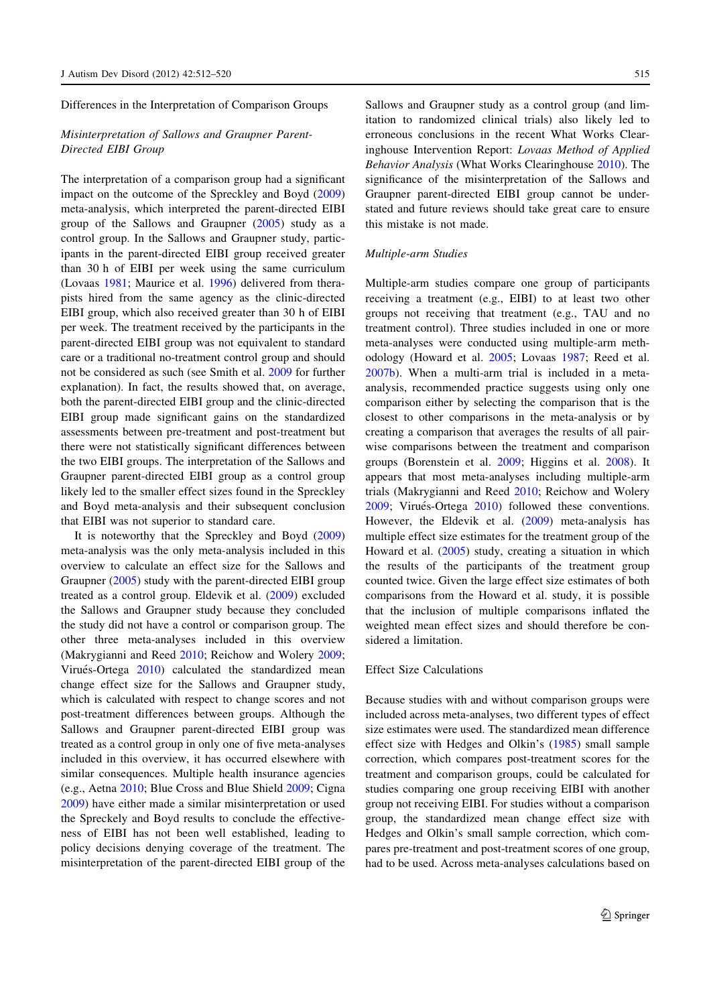Differences in the Interpretation of Comparison Groups

## Misinterpretation of Sallows and Graupner Parent-Directed EIBI Group

The interpretation of a comparison group had a significant impact on the outcome of the Spreckley and Boyd (2009) meta-analysis, which interpreted the parent-directed EIBI group of the Sallows and Graupner (2005) study as a control group. In the Sallows and Graupner study, participants in the parent-directed EIBI group received greater than 30 h of EIBI per week using the same curriculum (Lovaas 1981; Maurice et al. 1996) delivered from therapists hired from the same agency as the clinic-directed EIBI group, which also received greater than 30 h of EIBI per week. The treatment received by the participants in the parent-directed EIBI group was not equivalent to standard care or a traditional no-treatment control group and should not be considered as such (see Smith et al. 2009 for further explanation). In fact, the results showed that, on average, both the parent-directed EIBI group and the clinic-directed EIBI group made significant gains on the standardized assessments between pre-treatment and post-treatment but there were not statistically significant differences between the two EIBI groups. The interpretation of the Sallows and Graupner parent-directed EIBI group as a control group likely led to the smaller effect sizes found in the Spreckley and Boyd meta-analysis and their subsequent conclusion that EIBI was not superior to standard care.

It is noteworthy that the Spreckley and Boyd (2009) meta-analysis was the only meta-analysis included in this overview to calculate an effect size for the Sallows and Graupner (2005) study with the parent-directed EIBI group treated as a control group. Eldevik et al. (2009) excluded the Sallows and Graupner study because they concluded the study did not have a control or comparison group. The other three meta-analyses included in this overview (Makrygianni and Reed 2010; Reichow and Wolery 2009; Virués-Ortega 2010) calculated the standardized mean change effect size for the Sallows and Graupner study, which is calculated with respect to change scores and not post-treatment differences between groups. Although the Sallows and Graupner parent-directed EIBI group was treated as a control group in only one of five meta-analyses included in this overview, it has occurred elsewhere with similar consequences. Multiple health insurance agencies (e.g., Aetna 2010; Blue Cross and Blue Shield 2009; Cigna 2009) have either made a similar misinterpretation or used the Spreckely and Boyd results to conclude the effectiveness of EIBI has not been well established, leading to policy decisions denying coverage of the treatment. The misinterpretation of the parent-directed EIBI group of the

Sallows and Graupner study as a control group (and limitation to randomized clinical trials) also likely led to erroneous conclusions in the recent What Works Clearinghouse Intervention Report: Lovaas Method of Applied Behavior Analysis (What Works Clearinghouse 2010). The significance of the misinterpretation of the Sallows and Graupner parent-directed EIBI group cannot be understated and future reviews should take great care to ensure this mistake is not made.

### Multiple-arm Studies

Multiple-arm studies compare one group of participants receiving a treatment (e.g., EIBI) to at least two other groups not receiving that treatment (e.g., TAU and no treatment control). Three studies included in one or more meta-analyses were conducted using multiple-arm methodology (Howard et al. 2005; Lovaas 1987; Reed et al. 2007b). When a multi-arm trial is included in a metaanalysis, recommended practice suggests using only one comparison either by selecting the comparison that is the closest to other comparisons in the meta-analysis or by creating a comparison that averages the results of all pairwise comparisons between the treatment and comparison groups (Borenstein et al. 2009; Higgins et al. 2008). It appears that most meta-analyses including multiple-arm trials (Makrygianni and Reed 2010; Reichow and Wolery 2009; Virués-Ortega 2010) followed these conventions. However, the Eldevik et al. (2009) meta-analysis has multiple effect size estimates for the treatment group of the Howard et al. (2005) study, creating a situation in which the results of the participants of the treatment group counted twice. Given the large effect size estimates of both comparisons from the Howard et al. study, it is possible that the inclusion of multiple comparisons inflated the weighted mean effect sizes and should therefore be considered a limitation.

#### Effect Size Calculations

Because studies with and without comparison groups were included across meta-analyses, two different types of effect size estimates were used. The standardized mean difference effect size with Hedges and Olkin's (1985) small sample correction, which compares post-treatment scores for the treatment and comparison groups, could be calculated for studies comparing one group receiving EIBI with another group not receiving EIBI. For studies without a comparison group, the standardized mean change effect size with Hedges and Olkin's small sample correction, which compares pre-treatment and post-treatment scores of one group, had to be used. Across meta-analyses calculations based on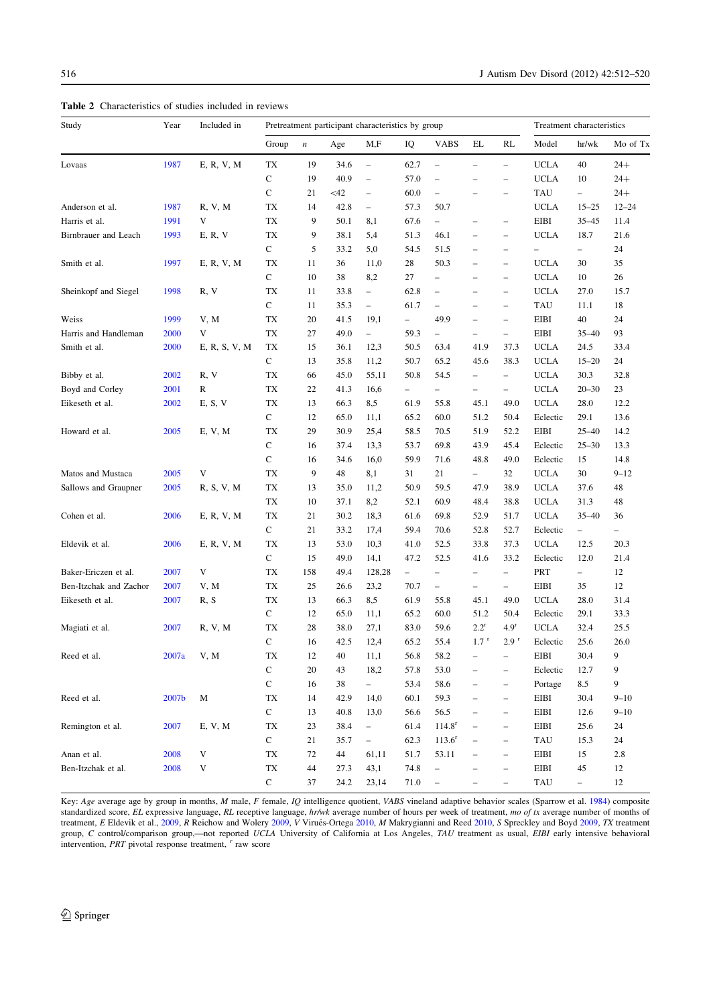| Study                  | Year  | Included in   | Pretreatment participant characteristics by group |                  |        |                          |          |                          |                          |                          | Treatment characteristics |                          |                          |
|------------------------|-------|---------------|---------------------------------------------------|------------------|--------|--------------------------|----------|--------------------------|--------------------------|--------------------------|---------------------------|--------------------------|--------------------------|
|                        |       |               | Group                                             | $\boldsymbol{n}$ | Age    | M.F                      | IQ       | <b>VABS</b>              | EL                       | RL                       | Model                     | hr/wk                    | Mo of Tx                 |
| Lovaas                 | 1987  | E, R, V, M    | TX                                                | 19               | 34.6   | $\equiv$                 | 62.7     | $\equiv$                 | $\overline{\phantom{0}}$ | ÷                        | <b>UCLA</b>               | 40                       | $24+$                    |
|                        |       |               | C                                                 | 19               | 40.9   | $\qquad \qquad -$        | 57.0     | $\overline{\phantom{0}}$ |                          | $\overline{\phantom{0}}$ | <b>UCLA</b>               | 10                       | $24+$                    |
|                        |       |               | C                                                 | 21               | $<$ 42 | ÷                        | 60.0     | $\frac{1}{2}$            |                          | $\equiv$                 | TAU                       | $\overline{\phantom{m}}$ | $24+$                    |
| Anderson et al.        | 1987  | R, V, M       | TX                                                | 14               | 42.8   | $\qquad \qquad -$        | 57.3     | 50.7                     |                          |                          | <b>UCLA</b>               | $15 - 25$                | $12 - 24$                |
| Harris et al.          | 1991  | V             | TX                                                | 9                | 50.1   | 8,1                      | 67.6     | $\qquad \qquad -$        |                          | $\overline{\phantom{0}}$ | EIBI                      | $35 - 45$                | 11.4                     |
| Birnbrauer and Leach   | 1993  | E, R, V       | TX                                                | 9                | 38.1   | 5,4                      | 51.3     | 46.1                     |                          | $\overline{\phantom{0}}$ | <b>UCLA</b>               | 18.7                     | 21.6                     |
|                        |       |               | C                                                 | 5                | 33.2   | 5,0                      | 54.5     | 51.5                     |                          | $\overline{\phantom{0}}$ | $\qquad \qquad -$         | $\qquad \qquad -$        | 24                       |
| Smith et al.           | 1997  | E, R, V, M    | TX                                                | 11               | 36     | 11,0                     | 28       | 50.3                     | $\overline{\phantom{0}}$ | $\overline{\phantom{0}}$ | <b>UCLA</b>               | 30                       | 35                       |
|                        |       |               | C                                                 | 10               | 38     | 8,2                      | 27       | $\overline{\phantom{0}}$ | $\overline{\phantom{0}}$ | $\equiv$                 | <b>UCLA</b>               | 10                       | 26                       |
| Sheinkopf and Siegel   | 1998  | R, V          | TX                                                | 11               | 33.8   | $\equiv$                 | 62.8     | $\overline{\phantom{0}}$ | $\overline{\phantom{0}}$ | $\qquad \qquad -$        | <b>UCLA</b>               | 27.0                     | 15.7                     |
|                        |       |               | C                                                 | 11               | 35.3   | $\equiv$                 | 61.7     | $\qquad \qquad -$        | $\overline{\phantom{0}}$ | $\overline{\phantom{0}}$ | TAU                       | 11.1                     | 18                       |
| Weiss                  | 1999  | V, M          | TX                                                | 20               | 41.5   | 19,1                     | $\equiv$ | 49.9                     | $\overline{a}$           | -                        | <b>EIBI</b>               | 40                       | 24                       |
| Harris and Handleman   | 2000  | V             | TX                                                | 27               | 49.0   | $\equiv$                 | 59.3     | $\overline{\phantom{0}}$ | -                        | ÷                        | <b>EIBI</b>               | $35 - 40$                | 93                       |
| Smith et al.           | 2000  | E, R, S, V, M | TX                                                | 15               | 36.1   | 12,3                     | 50.5     | 63.4                     | 41.9                     | 37.3                     | <b>UCLA</b>               | 24.5                     | 33.4                     |
|                        |       |               | ${\bf C}$                                         | 13               | 35.8   | 11,2                     | 50.7     | 65.2                     | 45.6                     | 38.3                     | <b>UCLA</b>               | $15 - 20$                | 24                       |
| Bibby et al.           | 2002  | R, V          | TX                                                | 66               | 45.0   | 55,11                    | 50.8     | 54.5                     | ÷                        | ÷                        | <b>UCLA</b>               | 30.3                     | 32.8                     |
| Boyd and Corley        | 2001  | R             | TX                                                | 22               | 41.3   | 16,6                     | -        | $\overline{\phantom{a}}$ | -                        | -                        | <b>UCLA</b>               | $20 - 30$                | 23                       |
| Eikeseth et al.        | 2002  | E, S, V       | TX                                                | 13               | 66.3   | 8,5                      | 61.9     | 55.8                     | 45.1                     | 49.0                     | <b>UCLA</b>               | 28.0                     | 12.2                     |
|                        |       |               | C                                                 | 12               | 65.0   | 11,1                     | 65.2     | 60.0                     | 51.2                     | 50.4                     | Eclectic                  | 29.1                     | 13.6                     |
| Howard et al.          | 2005  | E, V, M       | TX                                                | 29               | 30.9   | 25,4                     | 58.5     | 70.5                     | 51.9                     | 52.2                     | <b>EIBI</b>               | $25 - 40$                | 14.2                     |
|                        |       |               | C                                                 | 16               | 37.4   | 13,3                     | 53.7     | 69.8                     | 43.9                     | 45.4                     | Eclectic                  | $25 - 30$                | 13.3                     |
|                        |       |               | C                                                 | 16               | 34.6   | 16,0                     | 59.9     | 71.6                     | 48.8                     | 49.0                     | Eclectic                  | 15                       | 14.8                     |
| Matos and Mustaca      | 2005  | V             | TX                                                | 9                | 48     | 8,1                      | 31       | 21                       | $\equiv$                 | 32                       | <b>UCLA</b>               | 30                       | $9 - 12$                 |
| Sallows and Graupner   | 2005  | R, S, V, M    | TX                                                | 13               | 35.0   | 11,2                     | 50.9     | 59.5                     | 47.9                     | 38.9                     | <b>UCLA</b>               | 37.6                     | 48                       |
|                        |       |               | TX                                                | 10               | 37.1   | 8,2                      | 52.1     | 60.9                     | 48.4                     | 38.8                     | <b>UCLA</b>               | 31.3                     | 48                       |
| Cohen et al.           | 2006  | E, R, V, M    | TX                                                | 21               | 30.2   | 18,3                     | 61.6     | 69.8                     | 52.9                     | 51.7                     | <b>UCLA</b>               | $35 - 40$                | 36                       |
|                        |       |               | ${\bf C}$                                         | 21               | 33.2   | 17,4                     | 59.4     | 70.6                     | 52.8                     | 52.7                     | Eclectic                  | $\qquad \qquad -$        | $\overline{\phantom{0}}$ |
| Eldevik et al.         | 2006  | E, R, V, M    | TX                                                | 13               | 53.0   | 10,3                     | 41.0     | 52.5                     | 33.8                     | 37.3                     | <b>UCLA</b>               | 12.5                     | 20.3                     |
|                        |       |               | C                                                 | 15               | 49.0   | 14,1                     | 47.2     | 52.5                     | 41.6                     | 33.2                     | Eclectic                  | 12.0                     | 21.4                     |
| Baker-Ericzen et al.   | 2007  | V             | TX                                                | 158              | 49.4   | 128,28                   | -        | $\qquad \qquad -$        | $\overline{\phantom{0}}$ | $\equiv$                 | <b>PRT</b>                | $\overline{\phantom{a}}$ | 12                       |
| Ben-Itzchak and Zachor | 2007  | V, M          | TX                                                | 25               | 26.6   | 23,2                     | 70.7     | $\qquad \qquad =$        | -                        | -                        | <b>EIBI</b>               | 35                       | 12                       |
| Eikeseth et al.        | 2007  | R, S          | TX                                                | 13               | 66.3   | 8,5                      | 61.9     | 55.8                     | 45.1                     | 49.0                     | <b>UCLA</b>               | 28.0                     | 31.4                     |
|                        |       |               | C                                                 | 12               | 65.0   | 11,1                     | 65.2     | 60.0                     | 51.2                     | 50.4                     | Eclectic                  | 29.1                     | 33.3                     |
| Magiati et al.         | 2007  | R, V, M       | TX                                                | 28               | 38.0   | 27,1                     | 83.0     | 59.6                     | $2.2^r$                  | 4.9 <sup>r</sup>         | <b>UCLA</b>               | 32.4                     | 25.5                     |
|                        |       |               | C                                                 | 16               | 42.5   | 12,4                     | 65.2     | 55.4                     | $1.7$ <sup>r</sup>       | 2.9r                     | Eclectic                  | 25.6                     | 26.0                     |
| Reed et al.            | 2007a | V, M          | TX                                                | 12               | $40\,$ | 11,1                     | 56.8     | 58.2                     |                          | -                        | ${\rm EIBI}$              | 30.4                     | 9                        |
|                        |       |               | $\mathbf C$                                       | $20\,$           | 43     | 18,2                     | 57.8     | 53.0                     | $\overline{\phantom{0}}$ | -                        | Eclectic                  | 12.7                     | 9                        |
|                        |       |               | $\mathbf C$                                       | 16               | 38     | $\overline{\phantom{0}}$ | 53.4     | 58.6                     |                          | -                        | Portage                   | 8.5                      | 9                        |
| Reed et al.            | 2007b | $\mathbf M$   | ${\rm TX}$                                        | 14               | 42.9   | 14,0                     | 60.1     | 59.3                     | -                        | -                        | EIBI                      | 30.4                     | $9 - 10$                 |
|                        |       |               | $\mathbf C$                                       | 13               | 40.8   | 13,0                     | 56.6     | 56.5                     | $\overline{\phantom{0}}$ | -                        | EIBI                      | 12.6                     | $9 - 10$                 |
| Remington et al.       | 2007  | E, V, M       | ${\rm TX}$                                        | 23               | 38.4   | -                        | 61.4     | 114.8 <sup>r</sup>       |                          | -                        | ${\rm EIBI}$              | 25.6                     | 24                       |
|                        |       |               | ${\bf C}$                                         | 21               | 35.7   | $\overline{\phantom{0}}$ | 62.3     | $113.6^{r}$              |                          | -                        | TAU                       | 15.3                     | 24                       |
| Anan et al.            | 2008  | V             | ${\rm TX}$                                        | $72\,$           | 44     | 61,11                    | 51.7     | 53.11                    | $\overline{\phantom{0}}$ | $\qquad \qquad -$        | ${\rm EIBI}$              | 15                       | 2.8                      |
| Ben-Itzchak et al.     | 2008  | V             | $\mathcal{T}\mathcal{X}$                          | 44               | 27.3   | 43,1                     | 74.8     | $\equiv$                 |                          | -                        | ${\rm EIBI}$              | 45                       | 12                       |
|                        |       |               | $\mathbf C$                                       | 37               | 24.2   | 23,14                    | 71.0     | $\qquad \qquad -$        | -                        | $\overline{\phantom{0}}$ | TAU                       | $\qquad \qquad -$        | 12                       |
|                        |       |               |                                                   |                  |        |                          |          |                          |                          |                          |                           |                          |                          |

Table 2 Characteristics of studies included in reviews

Key: Age average age by group in months, M male, F female, IQ intelligence quotient, VABS vineland adaptive behavior scales (Sparrow et al. 1984) composite standardized score, EL expressive language, RL receptive language, hr/wk average number of hours per week of treatment, mo of tx average number of months of treatment, E Eldevik et al., 2009, R Reichow and Wolery 2009, V Virués-Ortega 2010, M Makrygianni and Reed 2010, S Spreckley and Boyd 2009, TX treatment group, C control/comparison group,-not reported UCLA University of California at Los Angeles, TAU treatment as usual, EIBI early intensive behavioral intervention, *PRT* pivotal response treatment,  $r$  raw score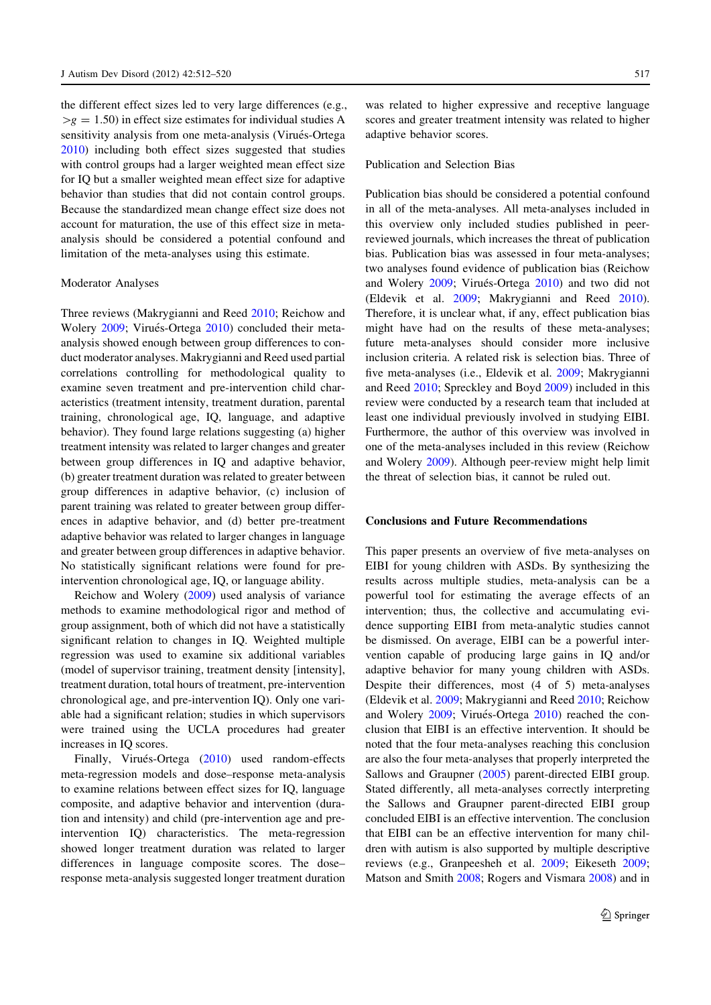the different effect sizes led to very large differences (e.g.,  $>g = 1.50$ ) in effect size estimates for individual studies A sensitivity analysis from one meta-analysis (Virués-Ortega 2010) including both effect sizes suggested that studies with control groups had a larger weighted mean effect size for IQ but a smaller weighted mean effect size for adaptive behavior than studies that did not contain control groups. Because the standardized mean change effect size does not account for maturation, the use of this effect size in metaanalysis should be considered a potential confound and limitation of the meta-analyses using this estimate.

#### Moderator Analyses

Three reviews (Makrygianni and Reed 2010; Reichow and Wolery 2009; Virués-Ortega 2010) concluded their metaanalysis showed enough between group differences to conduct moderator analyses. Makrygianni and Reed used partial correlations controlling for methodological quality to examine seven treatment and pre-intervention child characteristics (treatment intensity, treatment duration, parental training, chronological age, IQ, language, and adaptive behavior). They found large relations suggesting (a) higher treatment intensity was related to larger changes and greater between group differences in IQ and adaptive behavior, (b) greater treatment duration was related to greater between group differences in adaptive behavior, (c) inclusion of parent training was related to greater between group differences in adaptive behavior, and (d) better pre-treatment adaptive behavior was related to larger changes in language and greater between group differences in adaptive behavior. No statistically significant relations were found for preintervention chronological age, IQ, or language ability.

Reichow and Wolery (2009) used analysis of variance methods to examine methodological rigor and method of group assignment, both of which did not have a statistically significant relation to changes in IQ. Weighted multiple regression was used to examine six additional variables (model of supervisor training, treatment density [intensity], treatment duration, total hours of treatment, pre-intervention chronological age, and pre-intervention IQ). Only one variable had a significant relation; studies in which supervisors were trained using the UCLA procedures had greater increases in IQ scores.

Finally, Virués-Ortega (2010) used random-effects meta-regression models and dose–response meta-analysis to examine relations between effect sizes for IQ, language composite, and adaptive behavior and intervention (duration and intensity) and child (pre-intervention age and preintervention IQ) characteristics. The meta-regression showed longer treatment duration was related to larger differences in language composite scores. The dose– response meta-analysis suggested longer treatment duration

was related to higher expressive and receptive language scores and greater treatment intensity was related to higher adaptive behavior scores.

## Publication and Selection Bias

Publication bias should be considered a potential confound in all of the meta-analyses. All meta-analyses included in this overview only included studies published in peerreviewed journals, which increases the threat of publication bias. Publication bias was assessed in four meta-analyses; two analyses found evidence of publication bias (Reichow and Wolery 2009; Virués-Ortega 2010) and two did not (Eldevik et al. 2009; Makrygianni and Reed 2010). Therefore, it is unclear what, if any, effect publication bias might have had on the results of these meta-analyses; future meta-analyses should consider more inclusive inclusion criteria. A related risk is selection bias. Three of five meta-analyses (i.e., Eldevik et al. 2009; Makrygianni and Reed 2010; Spreckley and Boyd 2009) included in this review were conducted by a research team that included at least one individual previously involved in studying EIBI. Furthermore, the author of this overview was involved in one of the meta-analyses included in this review (Reichow and Wolery 2009). Although peer-review might help limit the threat of selection bias, it cannot be ruled out.

#### Conclusions and Future Recommendations

This paper presents an overview of five meta-analyses on EIBI for young children with ASDs. By synthesizing the results across multiple studies, meta-analysis can be a powerful tool for estimating the average effects of an intervention; thus, the collective and accumulating evidence supporting EIBI from meta-analytic studies cannot be dismissed. On average, EIBI can be a powerful intervention capable of producing large gains in IQ and/or adaptive behavior for many young children with ASDs. Despite their differences, most (4 of 5) meta-analyses (Eldevik et al. 2009; Makrygianni and Reed 2010; Reichow and Wolery 2009; Virués-Ortega 2010) reached the conclusion that EIBI is an effective intervention. It should be noted that the four meta-analyses reaching this conclusion are also the four meta-analyses that properly interpreted the Sallows and Graupner (2005) parent-directed EIBI group. Stated differently, all meta-analyses correctly interpreting the Sallows and Graupner parent-directed EIBI group concluded EIBI is an effective intervention. The conclusion that EIBI can be an effective intervention for many children with autism is also supported by multiple descriptive reviews (e.g., Granpeesheh et al. 2009; Eikeseth 2009; Matson and Smith 2008; Rogers and Vismara 2008) and in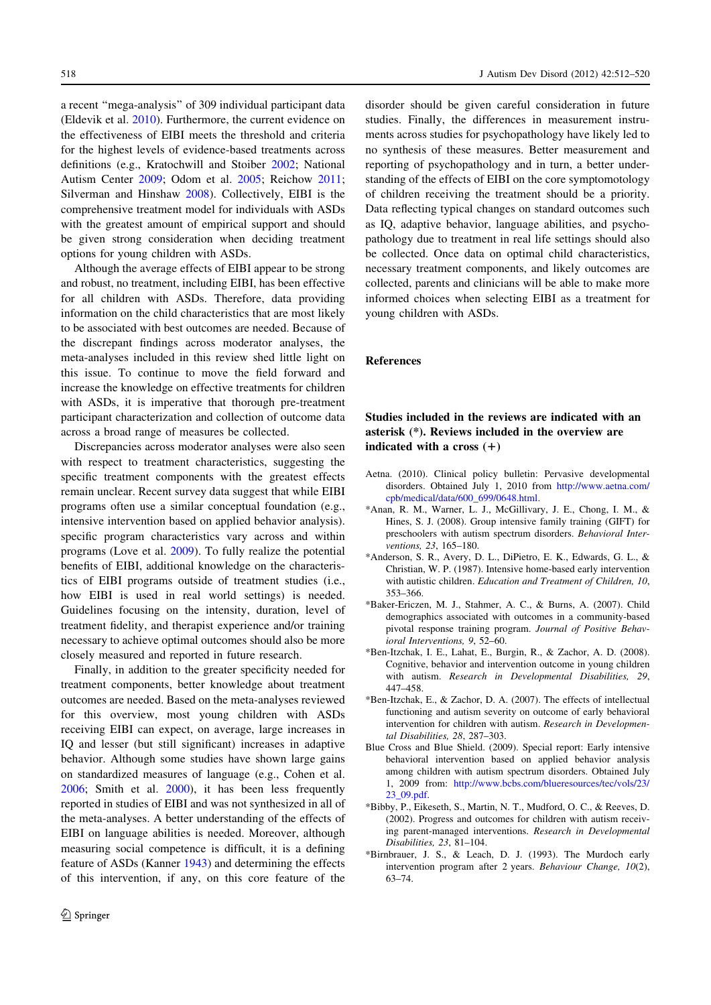a recent ''mega-analysis'' of 309 individual participant data (Eldevik et al. 2010). Furthermore, the current evidence on the effectiveness of EIBI meets the threshold and criteria for the highest levels of evidence-based treatments across definitions (e.g., Kratochwill and Stoiber 2002; National Autism Center 2009; Odom et al. 2005; Reichow 2011; Silverman and Hinshaw 2008). Collectively, EIBI is the comprehensive treatment model for individuals with ASDs with the greatest amount of empirical support and should be given strong consideration when deciding treatment

Although the average effects of EIBI appear to be strong and robust, no treatment, including EIBI, has been effective for all children with ASDs. Therefore, data providing information on the child characteristics that are most likely to be associated with best outcomes are needed. Because of the discrepant findings across moderator analyses, the meta-analyses included in this review shed little light on this issue. To continue to move the field forward and increase the knowledge on effective treatments for children with ASDs, it is imperative that thorough pre-treatment participant characterization and collection of outcome data across a broad range of measures be collected.

options for young children with ASDs.

Discrepancies across moderator analyses were also seen with respect to treatment characteristics, suggesting the specific treatment components with the greatest effects remain unclear. Recent survey data suggest that while EIBI programs often use a similar conceptual foundation (e.g., intensive intervention based on applied behavior analysis). specific program characteristics vary across and within programs (Love et al. 2009). To fully realize the potential benefits of EIBI, additional knowledge on the characteristics of EIBI programs outside of treatment studies (i.e., how EIBI is used in real world settings) is needed. Guidelines focusing on the intensity, duration, level of treatment fidelity, and therapist experience and/or training necessary to achieve optimal outcomes should also be more closely measured and reported in future research.

Finally, in addition to the greater specificity needed for treatment components, better knowledge about treatment outcomes are needed. Based on the meta-analyses reviewed for this overview, most young children with ASDs receiving EIBI can expect, on average, large increases in IQ and lesser (but still significant) increases in adaptive behavior. Although some studies have shown large gains on standardized measures of language (e.g., Cohen et al. 2006; Smith et al. 2000), it has been less frequently reported in studies of EIBI and was not synthesized in all of the meta-analyses. A better understanding of the effects of EIBI on language abilities is needed. Moreover, although measuring social competence is difficult, it is a defining feature of ASDs (Kanner 1943) and determining the effects of this intervention, if any, on this core feature of the disorder should be given careful consideration in future studies. Finally, the differences in measurement instruments across studies for psychopathology have likely led to no synthesis of these measures. Better measurement and reporting of psychopathology and in turn, a better understanding of the effects of EIBI on the core symptomotology of children receiving the treatment should be a priority. Data reflecting typical changes on standard outcomes such as IQ, adaptive behavior, language abilities, and psychopathology due to treatment in real life settings should also be collected. Once data on optimal child characteristics, necessary treatment components, and likely outcomes are collected, parents and clinicians will be able to make more informed choices when selecting EIBI as a treatment for young children with ASDs.

#### References

## Studies included in the reviews are indicated with an asterisk (\*). Reviews included in the overview are indicated with a cross  $(+)$

- Aetna. (2010). Clinical policy bulletin: Pervasive developmental disorders. Obtained July 1, 2010 from http://www.aetna.com/ cpb/medical/data/600\_699/0648.html.
- \*Anan, R. M., Warner, L. J., McGillivary, J. E., Chong, I. M., & Hines, S. J. (2008). Group intensive family training (GIFT) for preschoolers with autism spectrum disorders. Behavioral Interventions, 23, 165–180.
- \*Anderson, S. R., Avery, D. L., DiPietro, E. K., Edwards, G. L., & Christian, W. P. (1987). Intensive home-based early intervention with autistic children. Education and Treatment of Children, 10, 353–366.
- \*Baker-Ericzen, M. J., Stahmer, A. C., & Burns, A. (2007). Child demographics associated with outcomes in a community-based pivotal response training program. Journal of Positive Behavioral Interventions, 9, 52–60.
- \*Ben-Itzchak, I. E., Lahat, E., Burgin, R., & Zachor, A. D. (2008). Cognitive, behavior and intervention outcome in young children with autism. Research in Developmental Disabilities, 29, 447–458.
- \*Ben-Itzchak, E., & Zachor, D. A. (2007). The effects of intellectual functioning and autism severity on outcome of early behavioral intervention for children with autism. Research in Developmental Disabilities, 28, 287–303.
- Blue Cross and Blue Shield. (2009). Special report: Early intensive behavioral intervention based on applied behavior analysis among children with autism spectrum disorders. Obtained July 1, 2009 from: http://www.bcbs.com/blueresources/tec/vols/23/ 23\_09.pdf.
- \*Bibby, P., Eikeseth, S., Martin, N. T., Mudford, O. C., & Reeves, D. (2002). Progress and outcomes for children with autism receiving parent-managed interventions. Research in Developmental Disabilities, 23, 81–104.
- \*Birnbrauer, J. S., & Leach, D. J. (1993). The Murdoch early intervention program after 2 years. Behaviour Change, 10(2), 63–74.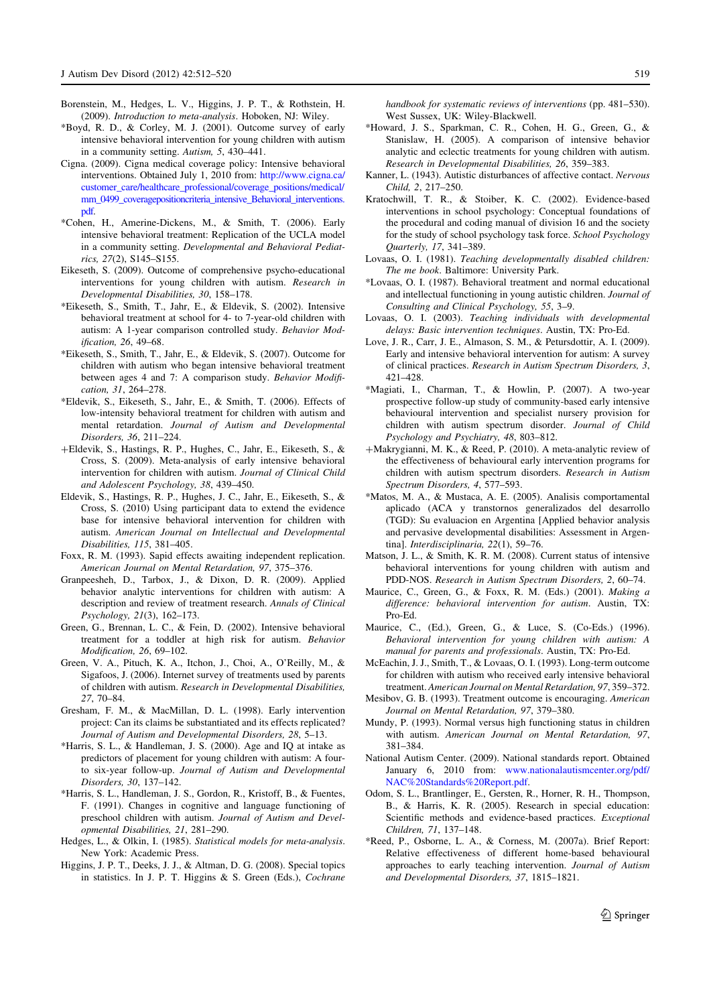- Borenstein, M., Hedges, L. V., Higgins, J. P. T., & Rothstein, H. (2009). Introduction to meta-analysis. Hoboken, NJ: Wiley.
- \*Boyd, R. D., & Corley, M. J. (2001). Outcome survey of early intensive behavioral intervention for young children with autism in a community setting. Autism, 5, 430–441.
- Cigna. (2009). Cigna medical coverage policy: Intensive behavioral interventions. Obtained July 1, 2010 from: http://www.cigna.ca/ customer\_care/healthcare\_professional/coverage\_positions/medical/ mm\_0499\_coveragepositioncriteria\_intensive\_Behavioral\_interventions. pdf.
- \*Cohen, H., Amerine-Dickens, M., & Smith, T. (2006). Early intensive behavioral treatment: Replication of the UCLA model in a community setting. Developmental and Behavioral Pediatrics, 27(2), S145–S155.
- Eikeseth, S. (2009). Outcome of comprehensive psycho-educational interventions for young children with autism. Research in Developmental Disabilities, 30, 158–178.
- \*Eikeseth, S., Smith, T., Jahr, E., & Eldevik, S. (2002). Intensive behavioral treatment at school for 4- to 7-year-old children with autism: A 1-year comparison controlled study. Behavior Modification, 26, 49–68.
- \*Eikeseth, S., Smith, T., Jahr, E., & Eldevik, S. (2007). Outcome for children with autism who began intensive behavioral treatment between ages 4 and 7: A comparison study. Behavior Modification, 31, 264–278.
- \*Eldevik, S., Eikeseth, S., Jahr, E., & Smith, T. (2006). Effects of low-intensity behavioral treatment for children with autism and mental retardation. Journal of Autism and Developmental Disorders, 36, 211–224.
- ?Eldevik, S., Hastings, R. P., Hughes, C., Jahr, E., Eikeseth, S., & Cross, S. (2009). Meta-analysis of early intensive behavioral intervention for children with autism. Journal of Clinical Child and Adolescent Psychology, 38, 439–450.
- Eldevik, S., Hastings, R. P., Hughes, J. C., Jahr, E., Eikeseth, S., & Cross, S. (2010) Using participant data to extend the evidence base for intensive behavioral intervention for children with autism. American Journal on Intellectual and Developmental Disabilities, 115, 381–405.
- Foxx, R. M. (1993). Sapid effects awaiting independent replication. American Journal on Mental Retardation, 97, 375–376.
- Granpeesheh, D., Tarbox, J., & Dixon, D. R. (2009). Applied behavior analytic interventions for children with autism: A description and review of treatment research. Annals of Clinical Psychology, 21(3), 162–173.
- Green, G., Brennan, L. C., & Fein, D. (2002). Intensive behavioral treatment for a toddler at high risk for autism. Behavior Modification, 26, 69–102.
- Green, V. A., Pituch, K. A., Itchon, J., Choi, A., O'Reilly, M., & Sigafoos, J. (2006). Internet survey of treatments used by parents of children with autism. Research in Developmental Disabilities, 27, 70–84.
- Gresham, F. M., & MacMillan, D. L. (1998). Early intervention project: Can its claims be substantiated and its effects replicated? Journal of Autism and Developmental Disorders, 28, 5–13.
- \*Harris, S. L., & Handleman, J. S. (2000). Age and IQ at intake as predictors of placement for young children with autism: A fourto six-year follow-up. Journal of Autism and Developmental Disorders, 30, 137–142.
- \*Harris, S. L., Handleman, J. S., Gordon, R., Kristoff, B., & Fuentes, F. (1991). Changes in cognitive and language functioning of preschool children with autism. Journal of Autism and Developmental Disabilities, 21, 281–290.
- Hedges, L., & Olkin, I. (1985). Statistical models for meta-analysis. New York: Academic Press.
- Higgins, J. P. T., Deeks, J. J., & Altman, D. G. (2008). Special topics in statistics. In J. P. T. Higgins & S. Green (Eds.), Cochrane

handbook for systematic reviews of interventions (pp. 481–530). West Sussex, UK: Wiley-Blackwell.

- \*Howard, J. S., Sparkman, C. R., Cohen, H. G., Green, G., & Stanislaw, H. (2005). A comparison of intensive behavior analytic and eclectic treatments for young children with autism. Research in Developmental Disabilities, 26, 359–383.
- Kanner, L. (1943). Autistic disturbances of affective contact. Nervous Child, 2, 217–250.
- Kratochwill, T. R., & Stoiber, K. C. (2002). Evidence-based interventions in school psychology: Conceptual foundations of the procedural and coding manual of division 16 and the society for the study of school psychology task force. School Psychology Quarterly, 17, 341–389.
- Lovaas, O. I. (1981). Teaching developmentally disabled children: The me book. Baltimore: University Park.
- \*Lovaas, O. I. (1987). Behavioral treatment and normal educational and intellectual functioning in young autistic children. Journal of Consulting and Clinical Psychology, 55, 3–9.
- Lovaas, O. I. (2003). Teaching individuals with developmental delays: Basic intervention techniques. Austin, TX: Pro-Ed.
- Love, J. R., Carr, J. E., Almason, S. M., & Petursdottir, A. I. (2009). Early and intensive behavioral intervention for autism: A survey of clinical practices. Research in Autism Spectrum Disorders, 3, 421–428.
- \*Magiati, I., Charman, T., & Howlin, P. (2007). A two-year prospective follow-up study of community-based early intensive behavioural intervention and specialist nursery provision for children with autism spectrum disorder. Journal of Child Psychology and Psychiatry, 48, 803–812.
- ?Makrygianni, M. K., & Reed, P. (2010). A meta-analytic review of the effectiveness of behavioural early intervention programs for children with autism spectrum disorders. Research in Autism Spectrum Disorders, 4, 577–593.
- \*Matos, M. A., & Mustaca, A. E. (2005). Analisis comportamental aplicado (ACA y transtornos generalizados del desarrollo (TGD): Su evaluacion en Argentina [Applied behavior analysis and pervasive developmental disabilities: Assessment in Argentina]. Interdisciplinaria, 22(1), 59–76.
- Matson, J. L., & Smith, K. R. M. (2008). Current status of intensive behavioral interventions for young children with autism and PDD-NOS. Research in Autism Spectrum Disorders, 2, 60–74.
- Maurice, C., Green, G., & Foxx, R. M. (Eds.) (2001). Making a difference: behavioral intervention for autism. Austin, TX: Pro-Ed.
- Maurice, C., (Ed.), Green, G., & Luce, S. (Co-Eds.) (1996). Behavioral intervention for young children with autism: A manual for parents and professionals. Austin, TX: Pro-Ed.
- McEachin, J. J., Smith, T., & Lovaas, O. I. (1993). Long-term outcome for children with autism who received early intensive behavioral treatment. American Journal on Mental Retardation, 97, 359–372.
- Mesibov, G. B. (1993). Treatment outcome is encouraging. American Journal on Mental Retardation, 97, 379–380.
- Mundy, P. (1993). Normal versus high functioning status in children with autism. American Journal on Mental Retardation, 97, 381–384.
- National Autism Center. (2009). National standards report. Obtained January 6, 2010 from: www.nationalautismcenter.org/pdf/ NAC%20Standards%20Report.pdf.
- Odom, S. L., Brantlinger, E., Gersten, R., Horner, R. H., Thompson, B., & Harris, K. R. (2005). Research in special education: Scientific methods and evidence-based practices. Exceptional Children, 71, 137–148.
- \*Reed, P., Osborne, L. A., & Corness, M. (2007a). Brief Report: Relative effectiveness of different home-based behavioural approaches to early teaching intervention. Journal of Autism and Developmental Disorders, 37, 1815–1821.